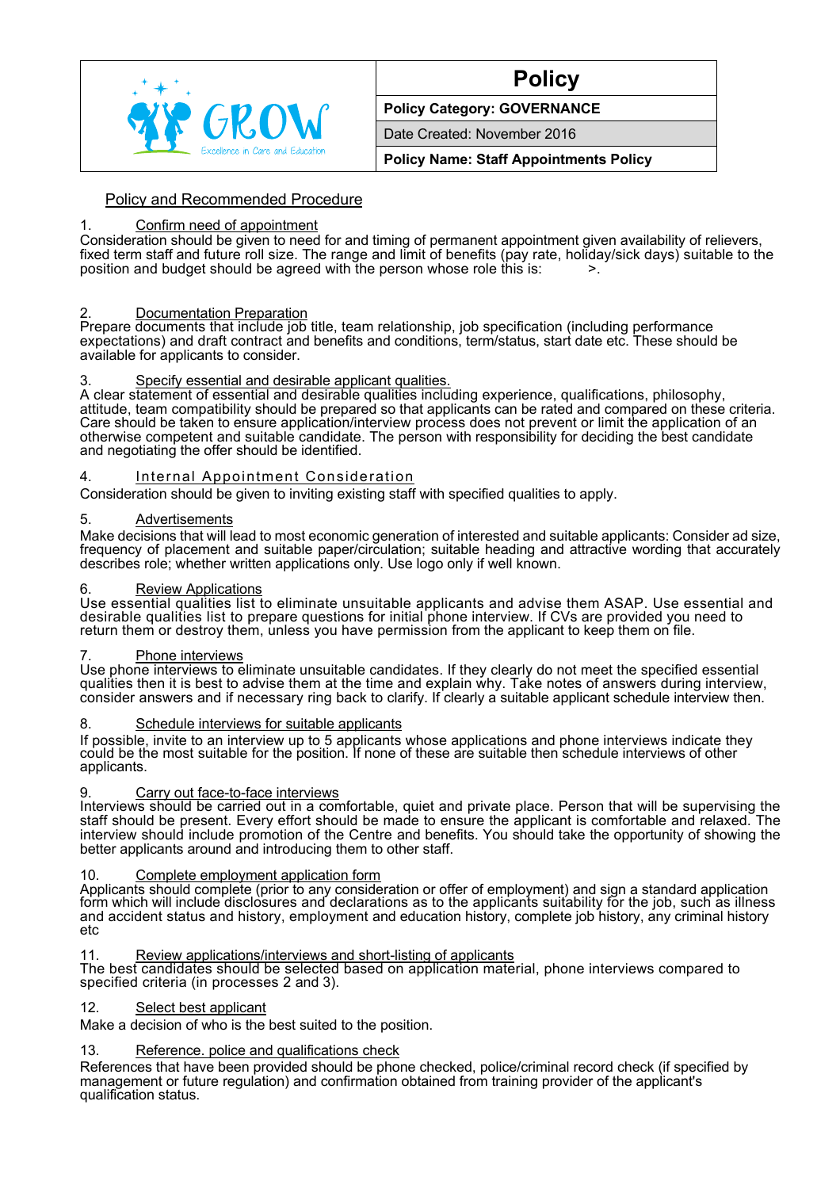

# **Policy**

## **Policy Category: GOVERNANCE**

Date Created: November 2016

**Policy Name: Staff Appointments Policy**

# Policy and Recommended Procedure

## 1. Confirm need of appointment

Consideration should be given to need for and timing of permanent appointment given availability of relievers, fixed term staff and future roll size. The range and limit of benefits (pay rate, holiday/sick days) suitable to the position and budget should be agreed with the person whose role this is:  $\sim$  >.

# 2. Documentation Preparation

Prepare documents that include job title, team relationship, job specification (including performance expectations) and draft contract and benefits and conditions, term/status, start date etc. These should be available for applicants to consider.

## 3. Specify essential and desirable applicant qualities.

A clear statement of essential and desirable qualities including experience, qualifications, philosophy, attitude, team compatibility should be prepared so that applicants can be rated and compared on these criteria. Care should be taken to ensure application/interview process does not prevent or limit the application of an otherwise competent and suitable candidate. The person with responsibility for deciding the best candidate and negotiating the offer should be identified.

#### 4. Internal Appointment Consideration

Consideration should be given to inviting existing staff with specified qualities to apply.

#### 5. Advertisements

Make decisions that will lead to most economic generation of interested and suitable applicants: Consider ad size, frequency of placement and suitable paper/circulation; suitable heading and attractive wording that accurately describes role; whether written applications only. Use logo only if well known.

#### 6. Review Applications

Use essential qualities list to eliminate unsuitable applicants and advise them ASAP. Use essential and desirable qualities list to prepare questions for initial phone interview. If CVs are provided you need to return them or destroy them, unless you have permission from the applicant to keep them on file.

#### Phone interviews

Use phone interviews to eliminate unsuitable candidates. If they clearly do not meet the specified essential qualities then it is best to advise them at the time and explain why. Take notes of answers during interview, consider answers and if necessary ring back to clarify. If clearly a suitable applicant schedule interview then.

## 8. Schedule interviews for suitable applicants

If possible, invite to an interview up to 5 applicants whose applications and phone interviews indicate they could be the most suitable for the position. If none of these are suitable then schedule interviews of other applicants.

#### Carry out face-to-face interviews

Interviews should be carried out in a comfortable, quiet and private place. Person that will be supervising the staff should be present. Every effort should be made to ensure the applicant is comfortable and relaxed. The interview should include promotion of the Centre and benefits. You should take the opportunity of showing the better applicants around and introducing them to other staff.

## 10. Complete employment application form

Applicants should complete (prior to any consideration or offer of employment) and sign a standard application form which will include disclosures and declarations as to the applicants suitability for the job, such as illness and accident status and history, employment and education history, complete job history, any criminal history etc

# 11. Review applications/interviews and short-listing of applicants

The best candidates should be selected based on application material, phone interviews compared to specified criteria (in processes 2 and 3).

## 12. Select best applicant

Make a decision of who is the best suited to the position.

## 13. Reference. police and qualifications check

References that have been provided should be phone checked, police/criminal record check (if specified by management or future regulation) and confirmation obtained from training provider of the applicant's qualification status.